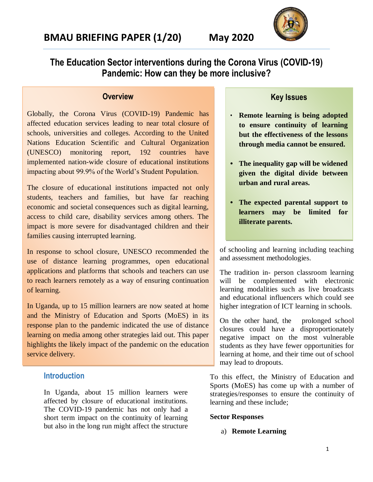

**The Education Sector interventions during the Corona Virus (COVID-19) Pandemic: How can they be more inclusive?**

## **Overview**

Globally, the Corona Virus (COVID-19) Pandemic has affected education services leading to near total closure of schools, universities and colleges. According to the United Nations Education Scientific and Cultural Organization (UNESCO) monitoring report, 192 countries have implemented nation-wide closure of educational institutions impacting about 99.9% of the World's Student Population.

The closure of educational institutions impacted not only students, teachers and families, but have far reaching economic and societal consequences such as digital learning, access to child care, disability services among others. The impact is more severe for disadvantaged children and their families causing interrupted learning.

In response to school closure, UNESCO recommended the use of distance learning programmes, open educational applications and platforms that schools and teachers can use to reach learners remotely as a way of ensuring continuation of learning.

In Uganda, up to 15 million learners are now seated at home and the Ministry of Education and Sports (MoES) in its response plan to the pandemic indicated the use of distance learning on media among other strategies laid out. This paper highlights the likely impact of the pandemic on the education service delivery.

## **Introduction**

In Uganda, about 15 million learners were affected by closure of educational institutions. The COVID-19 pandemic has not only had a short term impact on the continuity of learning but also in the long run might affect the structure

## **Key Issues**

- **Remote learning is being adopted to ensure continuity of learning but the effectiveness of the lessons through media cannot be ensured.**
- **• The inequality gap will be widened given the digital divide between urban and rural areas.**
- **• The expected parental support to learners may be limited for illiterate parents.**

of schooling and learning including teaching and assessment methodologies.

The tradition in- person classroom learning will be complemented with electronic learning modalities such as live broadcasts and educational influencers which could see higher integration of ICT learning in schools.

On the other hand, the prolonged school closures could have a disproportionately negative impact on the most vulnerable students as they have fewer opportunities for learning at home, and their time out of school may lead to dropouts.

To this effect, the Ministry of Education and Sports (MoES) has come up with a number of strategies/responses to ensure the continuity of learning and these include;

## **Sector Responses**

## a) **Remote Learning**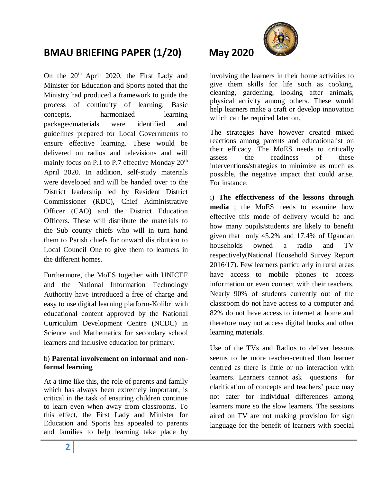# **BMAU BRIEFING PAPER (1/20) May 2020**

On the 20<sup>th</sup> April 2020, the First Lady and Minister for Education and Sports noted that the Ministry had produced a framework to guide the process of continuity of learning. Basic concepts, harmonized learning packages/materials were identified and guidelines prepared for Local Governments to ensure effective learning. These would be delivered on radios and televisions and will mainly focus on P.1 to P.7 effective Monday 20<sup>th</sup> April 2020. In addition, self-study materials were developed and will be handed over to the District leadership led by Resident District Commissioner (RDC), Chief Administrative Officer (CAO) and the District Education Officers. These will distribute the materials to the Sub county chiefs who will in turn hand them to Parish chiefs for onward distribution to Local Council One to give them to learners in the different homes.

Furthermore, the MoES together with UNICEF and the National Information Technology Authority have introduced a free of charge and easy to use digital learning platform-Kolibri with educational content approved by the National Curriculum Development Centre (NCDC) in Science and Mathematics for secondary school learners and inclusive education for primary.

## b) **Parental involvement on informal and nonformal learning**

At a time like this, the role of parents and family which has always been extremely important, is critical in the task of ensuring children continue to learn even when away from classrooms. To this effect, the First Lady and Minister for Education and Sports has appealed to parents and families to help learning take place by

involving the learners in their home activities to give them skills for life such as cooking, cleaning, gardening, looking after animals, physical activity among others. These would help learners make a craft or develop innovation which can be required later on.

The strategies have however created mixed reactions among parents and educationalist on their efficacy. The MoES needs to critically assess the readiness of these interventions/strategies to minimize as much as possible, the negative impact that could arise. For instance;

i) **The effectiveness of the lessons through media** ; the MoES needs to examine how effective this mode of delivery would be and how many pupils/students are likely to benefit given that only 45.2% and 17.4% of Ugandan households owned a radio and TV respectively(National Household Survey Report 2016/17). Few learners particularly in rural areas have access to mobile phones to access information or even connect with their teachers. Nearly 90% of students currently out of the classroom do not have access to a computer and 82% do not have access to internet at home and therefore may not access digital books and other learning materials.

Use of the TVs and Radios to deliver lessons seems to be more teacher-centred than learner centred as there is little or no interaction with learners. Learners cannot ask questions for clarification of concepts and teachers' pace may not cater for individual differences among learners more so the slow learners. The sessions aired on TV are not making provision for sign language for the benefit of learners with special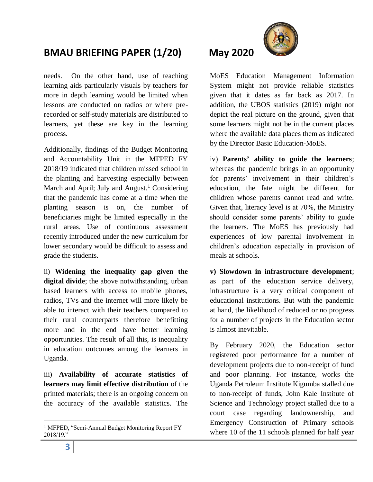# **BMAU BRIEFING PAPER (1/20) May 2020**

needs. On the other hand, use of teaching learning aids particularly visuals by teachers for more in depth learning would be limited when lessons are conducted on radios or where prerecorded or self-study materials are distributed to learners, yet these are key in the learning process.

Additionally, findings of the Budget Monitoring and Accountability Unit in the MFPED FY 2018/19 indicated that children missed school in the planting and harvesting especially between March and April; July and August.<sup>1</sup> Considering that the pandemic has come at a time when the planting season is on, the number of beneficiaries might be limited especially in the rural areas. Use of continuous assessment recently introduced under the new curriculum for lower secondary would be difficult to assess and grade the students.

ii) **Widening the inequality gap given the digital divide**; the above notwithstanding, urban based learners with access to mobile phones, radios, TVs and the internet will more likely be able to interact with their teachers compared to their rural counterparts therefore benefitting more and in the end have better learning opportunities. The result of all this, is inequality in education outcomes among the learners in Uganda.

iii) **Availability of accurate statistics of learners may limit effective distribution** of the printed materials; there is an ongoing concern on the accuracy of the available statistics. The



MoES Education Management Information System might not provide reliable statistics given that it dates as far back as 2017. In addition, the UBOS statistics (2019) might not depict the real picture on the ground, given that some learners might not be in the current places where the available data places them as indicated by the Director Basic Education-MoES.

iv) **Parents' ability to guide the learners**; whereas the pandemic brings in an opportunity for parents' involvement in their children's education, the fate might be different for children whose parents cannot read and write. Given that, literacy level is at 70%, the Ministry should consider some parents' ability to guide the learners. The MoES has previously had experiences of low parental involvement in children's education especially in provision of meals at schools.

**v) Slowdown in infrastructure development**; as part of the education service delivery, infrastructure is a very critical component of educational institutions. But with the pandemic at hand, the likelihood of reduced or no progress for a number of projects in the Education sector is almost inevitable.

By February 2020, the Education sector registered poor performance for a number of development projects due to non-receipt of fund and poor planning. For instance, works the Uganda Petroleum Institute Kigumba stalled due to non-receipt of funds, John Kale Institute of Science and Technology project stalled due to a court case regarding landownership, and Emergency Construction of Primary schools where 10 of the 11 schools planned for half year

 $\overline{a}$ 

<sup>&</sup>lt;sup>1</sup> MFPED, "Semi-Annual Budget Monitoring Report FY 2018/19."